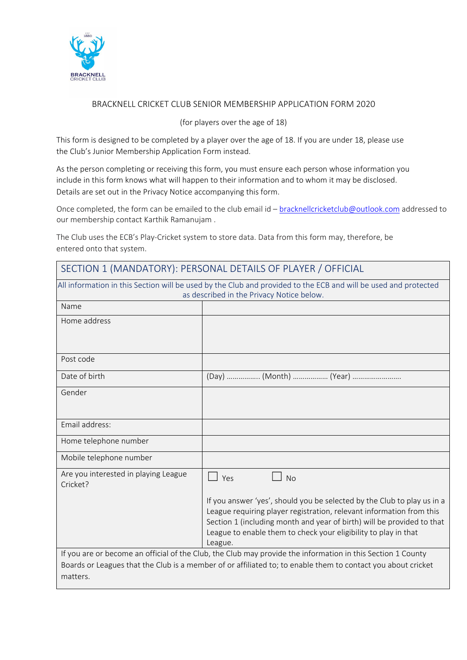

### BRACKNELL CRICKET CLUB SENIOR MEMBERSHIP APPLICATION FORM 2020

#### (for players over the age of 18)

This form is designed to be completed by a player over the age of 18. If you are under 18, please use the Club's Junior Membership Application Form instead.

As the person completing or receiving this form, you must ensure each person whose information you include in this form knows what will happen to their information and to whom it may be disclosed. Details are set out in the Privacy Notice accompanying this form.

Once completed, the form can be emailed to the club email id - [bracknellcricketclub@outlook.com](mailto:bracknellcricketclub@outlook.com) addressed to our membership contact Karthik Ramanujam .

The Club uses the ECB's Play-Cricket system to store data. Data from this form may, therefore, be entered onto that system.

| SECTION 1 (MANDATORY): PERSONAL DETAILS OF PLAYER / OFFICIAL                                                                                                 |                                                                                                                                                                                                                                                                                                         |  |  |  |  |  |
|--------------------------------------------------------------------------------------------------------------------------------------------------------------|---------------------------------------------------------------------------------------------------------------------------------------------------------------------------------------------------------------------------------------------------------------------------------------------------------|--|--|--|--|--|
| All information in this Section will be used by the Club and provided to the ECB and will be used and protected<br>as described in the Privacy Notice below. |                                                                                                                                                                                                                                                                                                         |  |  |  |  |  |
| Name                                                                                                                                                         |                                                                                                                                                                                                                                                                                                         |  |  |  |  |  |
| Home address                                                                                                                                                 |                                                                                                                                                                                                                                                                                                         |  |  |  |  |  |
| Post code                                                                                                                                                    |                                                                                                                                                                                                                                                                                                         |  |  |  |  |  |
| Date of birth                                                                                                                                                | (Day)  (Month)  (Year)                                                                                                                                                                                                                                                                                  |  |  |  |  |  |
| Gender                                                                                                                                                       |                                                                                                                                                                                                                                                                                                         |  |  |  |  |  |
| Email address:                                                                                                                                               |                                                                                                                                                                                                                                                                                                         |  |  |  |  |  |
| Home telephone number                                                                                                                                        |                                                                                                                                                                                                                                                                                                         |  |  |  |  |  |
| Mobile telephone number                                                                                                                                      |                                                                                                                                                                                                                                                                                                         |  |  |  |  |  |
| Are you interested in playing League<br>Cricket?                                                                                                             | Yes<br><b>No</b>                                                                                                                                                                                                                                                                                        |  |  |  |  |  |
|                                                                                                                                                              | If you answer 'yes', should you be selected by the Club to play us in a<br>League requiring player registration, relevant information from this<br>Section 1 (including month and year of birth) will be provided to that<br>League to enable them to check your eligibility to play in that<br>League. |  |  |  |  |  |
| matters.                                                                                                                                                     | If you are or become an official of the Club, the Club may provide the information in this Section 1 County<br>Boards or Leagues that the Club is a member of or affiliated to; to enable them to contact you about cricket                                                                             |  |  |  |  |  |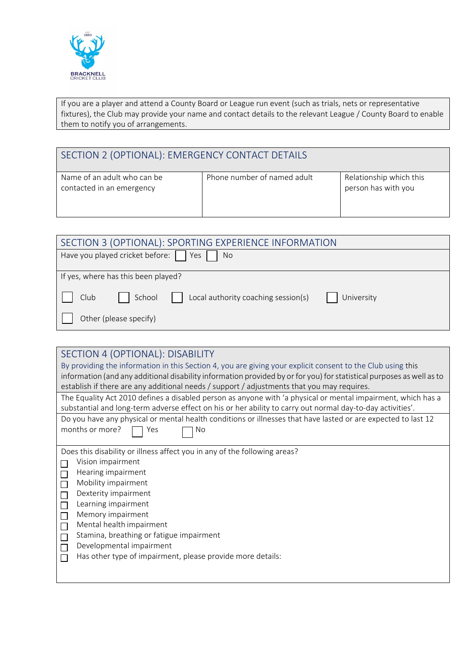

If you are a player and attend a County Board or League run event (such as trials, nets or representative fixtures), the Club may provide your name and contact details to the relevant League / County Board to enable them to notify you of arrangements.

| SECTION 2 (OPTIONAL): EMERGENCY CONTACT DETAILS          |                             |                                                |  |  |
|----------------------------------------------------------|-----------------------------|------------------------------------------------|--|--|
| Name of an adult who can be<br>contacted in an emergency | Phone number of named adult | Relationship which this<br>person has with you |  |  |

| SECTION 3 (OPTIONAL): SPORTING EXPERIENCE INFORMATION               |  |  |  |  |  |
|---------------------------------------------------------------------|--|--|--|--|--|
| Have you played cricket before:  <br>Yes  <br>No.                   |  |  |  |  |  |
|                                                                     |  |  |  |  |  |
| If yes, where has this been played?                                 |  |  |  |  |  |
| School<br>Local authority coaching session(s)<br>Club<br>University |  |  |  |  |  |
| Other (please specify)                                              |  |  |  |  |  |

| SECTION 4 (OPTIONAL): DISABILITY                                                                                                                                                                                           |  |  |  |  |  |
|----------------------------------------------------------------------------------------------------------------------------------------------------------------------------------------------------------------------------|--|--|--|--|--|
| By providing the information in this Section 4, you are giving your explicit consent to the Club using this                                                                                                                |  |  |  |  |  |
| information (and any additional disability information provided by or for you) for statistical purposes as well as to<br>establish if there are any additional needs / support / adjustments that you may requires.        |  |  |  |  |  |
| The Equality Act 2010 defines a disabled person as anyone with 'a physical or mental impairment, which has a<br>substantial and long-term adverse effect on his or her ability to carry out normal day-to-day activities'. |  |  |  |  |  |
| Do you have any physical or mental health conditions or illnesses that have lasted or are expected to last 12                                                                                                              |  |  |  |  |  |
| months or more?<br>No<br>Yes                                                                                                                                                                                               |  |  |  |  |  |
|                                                                                                                                                                                                                            |  |  |  |  |  |
| Does this disability or illness affect you in any of the following areas?                                                                                                                                                  |  |  |  |  |  |
| Vision impairment                                                                                                                                                                                                          |  |  |  |  |  |
| Hearing impairment                                                                                                                                                                                                         |  |  |  |  |  |
| Mobility impairment                                                                                                                                                                                                        |  |  |  |  |  |
| Dexterity impairment                                                                                                                                                                                                       |  |  |  |  |  |
| Learning impairment                                                                                                                                                                                                        |  |  |  |  |  |
| Memory impairment                                                                                                                                                                                                          |  |  |  |  |  |
| Mental health impairment<br>П                                                                                                                                                                                              |  |  |  |  |  |
| Stamina, breathing or fatigue impairment                                                                                                                                                                                   |  |  |  |  |  |
| Developmental impairment                                                                                                                                                                                                   |  |  |  |  |  |
| Has other type of impairment, please provide more details:                                                                                                                                                                 |  |  |  |  |  |
|                                                                                                                                                                                                                            |  |  |  |  |  |
|                                                                                                                                                                                                                            |  |  |  |  |  |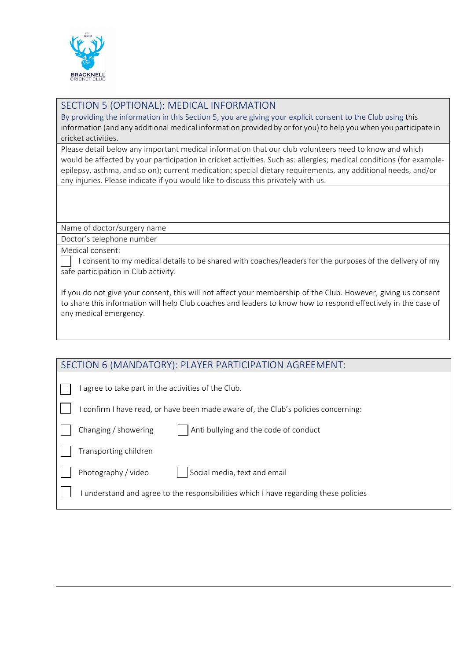

## SECTION 5 (OPTIONAL): MEDICAL INFORMATION

By providing the information in this Section 5, you are giving your explicit consent to the Club using this information (and any additional medical information provided by or for you) to help you when you participate in cricket activities.

Please detail below any important medical information that our club volunteers need to know and which would be affected by your participation in cricket activities. Such as: allergies; medical conditions (for exampleepilepsy, asthma, and so on); current medication; special dietary requirements, any additional needs, and/or any injuries. Please indicate if you would like to discuss this privately with us.

Name of doctor/surgery name

Doctor's telephone number

Medical consent:

I consent to my medical details to be shared with coaches/leaders for the purposes of the delivery of my safe participation in Club activity.

If you do not give your consent, this will not affect your membership of the Club. However, giving us consent to share this information will help Club coaches and leaders to know how to respond effectively in the case of any medical emergency.

I agree to take part in the activities of the Club.

I confirm I have read, or have been made aware of, the Club's policies concerning:

| $\vert$ Changing / showe |  |
|--------------------------|--|

ering  $\vert$  | Anti bullying and the code of conduct

Transporting children

Photography / video  $\vert \vert$  Social media, text and email

I understand and agree to the responsibilities which I have regarding these policies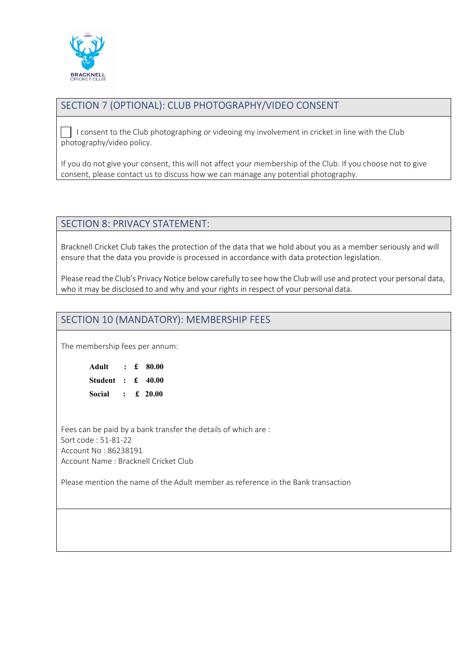

# SECTION 7 (OPTIONAL): CLUB PHOTOGRAPHY/VIDEO CONSENT

I consent to the Club photographing or videoing my involvement in cricket in line with the Club photography/video policy.

If you do not give your consent, this will not affect your membership of the Club. If you choose not to give consent, please contact us to discuss how we can manage any potential photography.

## SECTION 8: PRIVACY STATEMENT:

Bracknell Cricket Club takes the protection of the data that we hold about you as a member seriously and will ensure that the data you provide is processed in accordance with data protection legislation.

Please read the Club's Privacy Notice below carefully to see how the Club will use and protect your personal data, who it may be disclosed to and why and your rights in respect of your personal data.

## SECTION 10 (MANDATORY): MEMBERSHIP FEES

The membership fees per annum:

| Adult                            |              | $\pm$ \$0.00 |
|----------------------------------|--------------|--------------|
| Student : $\text{\pounds}$ 40.00 |              |              |
| <b>Social</b>                    | $\mathbf{r}$ | £ 20.00      |

Fees can be paid by a bank transfer the details of which are : Sort code : 51-81-22 Account No : 86238191 Account Name : Bracknell Cricket Club

Please mention the name of the Adult member as reference in the Bank transaction